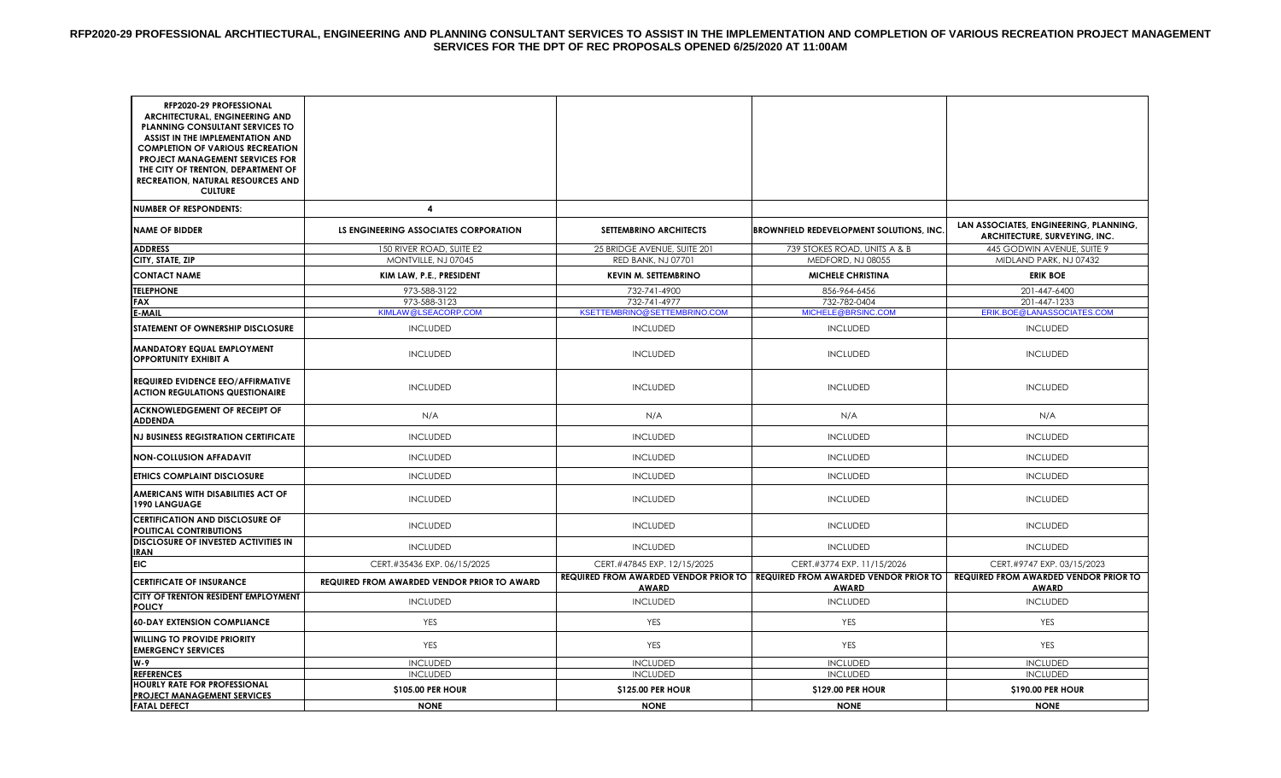| RFP2020-29 PROFESSIONAL<br>ARCHITECTURAL, ENGINEERING AND<br>PLANNING CONSULTANT SERVICES TO |                                                    |                                              |                                                                                                      |                                                                         |
|----------------------------------------------------------------------------------------------|----------------------------------------------------|----------------------------------------------|------------------------------------------------------------------------------------------------------|-------------------------------------------------------------------------|
| ASSIST IN THE IMPLEMENTATION AND<br><b>COMPLETION OF VARIOUS RECREATION</b>                  |                                                    |                                              |                                                                                                      |                                                                         |
| <b>PROJECT MANAGEMENT SERVICES FOR</b><br>THE CITY OF TRENTON, DEPARTMENT OF                 |                                                    |                                              |                                                                                                      |                                                                         |
| <b>RECREATION, NATURAL RESOURCES AND</b>                                                     |                                                    |                                              |                                                                                                      |                                                                         |
| <b>CULTURE</b>                                                                               |                                                    |                                              |                                                                                                      |                                                                         |
| <b>NUMBER OF RESPONDENTS:</b>                                                                | 4                                                  |                                              |                                                                                                      |                                                                         |
| <b>NAME OF BIDDER</b>                                                                        | LS ENGINEERING ASSOCIATES CORPORATION              | <b>SETTEMBRINO ARCHITECTS</b>                | <b>BROWNFIELD REDEVELOPMENT SOLUTIONS, INC.</b>                                                      | LAN ASSOCIATES, ENGINEERING, PLANNING,<br>ARCHITECTURE, SURVEYING, INC. |
| <b>ADDRESS</b>                                                                               | 150 RIVER ROAD, SUITE E2                           | 25 BRIDGE AVENUE, SUITE 201                  | 739 STOKES ROAD, UNITS A & B                                                                         | 445 GODWIN AVENUE, SUITE 9                                              |
| CITY, STATE, ZIP                                                                             | MONTVILLE, NJ 07045                                | <b>RED BANK, NJ 07701</b>                    | MEDFORD, NJ 08055                                                                                    | MIDLAND PARK, NJ 07432                                                  |
| <b>CONTACT NAME</b>                                                                          | KIM LAW, P.E., PRESIDENT                           | <b>KEVIN M. SETTEMBRINO</b>                  | <b>MICHELE CHRISTINA</b>                                                                             | <b>ERIK BOE</b>                                                         |
| <b>TELEPHONE</b>                                                                             | 973-588-3122                                       | 732-741-4900                                 | 856-964-6456                                                                                         | 201-447-6400                                                            |
| <b>FAX</b><br><b>E-MAIL</b>                                                                  | 973-588-3123<br>KIMLAW@LSEACORP.COM                | 732-741-4977<br>KSETTEMBRINO@SETTEMBRINO.COM | 732-782-0404<br>MICHELE@BRSINC.COM                                                                   | 201-447-1233<br>ERIK.BOE@LANASSOCIATES.COM                              |
| STATEMENT OF OWNERSHIP DISCLOSURE                                                            | <b>INCLUDED</b>                                    | <b>INCLUDED</b>                              | <b>INCLUDED</b>                                                                                      | <b>INCLUDED</b>                                                         |
| <b>MANDATORY EQUAL EMPLOYMENT</b><br><b>OPPORTUNITY EXHIBIT A</b>                            | <b>INCLUDED</b>                                    | <b>INCLUDED</b>                              | <b>INCLUDED</b>                                                                                      | <b>INCLUDED</b>                                                         |
| <b>REQUIRED EVIDENCE EEO/AFFIRMATIVE</b><br><b>ACTION REGULATIONS QUESTIONAIRE</b>           | <b>INCLUDED</b>                                    | <b>INCLUDED</b>                              | <b>INCLUDED</b>                                                                                      | <b>INCLUDED</b>                                                         |
| <b>ACKNOWLEDGEMENT OF RECEIPT OF</b><br><b>ADDENDA</b>                                       | N/A                                                | N/A                                          | N/A                                                                                                  | N/A                                                                     |
| <b>NJ BUSINESS REGISTRATION CERTIFICATE</b>                                                  | <b>INCLUDED</b>                                    | <b>INCLUDED</b>                              | <b>INCLUDED</b>                                                                                      | <b>INCLUDED</b>                                                         |
| <b>NON-COLLUSION AFFADAVIT</b>                                                               | <b>INCLUDED</b>                                    | <b>INCLUDED</b>                              | <b>INCLUDED</b>                                                                                      | <b>INCLUDED</b>                                                         |
| <b>ETHICS COMPLAINT DISCLOSURE</b>                                                           | <b>INCLUDED</b>                                    | <b>INCLUDED</b>                              | <b>INCLUDED</b>                                                                                      | <b>INCLUDED</b>                                                         |
| AMERICANS WITH DISABILITIES ACT OF<br>1990 LANGUAGE                                          | <b>INCLUDED</b>                                    | <b>INCLUDED</b>                              | <b>INCLUDED</b>                                                                                      | <b>INCLUDED</b>                                                         |
| <b>CERTIFICATION AND DISCLOSURE OF</b><br><b>POLITICAL CONTRIBUTIONS</b>                     | <b>INCLUDED</b>                                    | <b>INCLUDED</b>                              | <b>INCLUDED</b>                                                                                      | <b>INCLUDED</b>                                                         |
| <b>DISCLOSURE OF INVESTED ACTIVITIES IN</b><br><b>IRAN</b>                                   | <b>INCLUDED</b>                                    | <b>INCLUDED</b>                              | <b>INCLUDED</b>                                                                                      | <b>INCLUDED</b>                                                         |
| <b>EIC</b>                                                                                   | CERT.#35436 EXP. 06/15/2025                        | CERT.#47845 EXP. 12/15/2025                  | CERT.#3774 EXP. 11/15/2026                                                                           | CERT.#9747 EXP. 03/15/2023                                              |
| <b>CERTIFICATE OF INSURANCE</b>                                                              | <b>REQUIRED FROM AWARDED VENDOR PRIOR TO AWARD</b> | <b>AWARD</b>                                 | <b>REQUIRED FROM AWARDED VENDOR PRIOR TO REQUIRED FROM AWARDED VENDOR PRIOR TO  </b><br><b>AWARD</b> | <b>REQUIRED FROM AWARDED VENDOR PRIOR TO</b><br><b>AWARD</b>            |
| CITY OF TRENTON RESIDENT EMPLOYMENT<br><b>POLICY</b>                                         | <b>INCLUDED</b>                                    | <b>INCLUDED</b>                              | <b>INCLUDED</b>                                                                                      | <b>INCLUDED</b>                                                         |
| <b>60-DAY EXTENSION COMPLIANCE</b>                                                           | YES                                                | YES                                          | YES                                                                                                  | YES                                                                     |
| <b>WILLING TO PROVIDE PRIORITY</b><br><b>EMERGENCY SERVICES</b>                              | <b>YES</b>                                         | <b>YES</b>                                   | YES                                                                                                  | YES                                                                     |
| W-9                                                                                          | <b>INCLUDED</b>                                    | <b>INCLUDED</b>                              | <b>INCLUDED</b>                                                                                      | <b>INCLUDED</b>                                                         |
| <b>REFERENCES</b><br><b>HOURLY RATE FOR PROFESSIONAL</b>                                     | <b>INCLUDED</b>                                    | <b>INCLUDED</b>                              | <b>INCLUDED</b>                                                                                      | <b>INCLUDED</b>                                                         |
| <b>PROJECT MANAGEMENT SERVICES</b>                                                           | \$105.00 PER HOUR                                  | <b>\$125.00 PER HOUR</b>                     | <b>\$129.00 PER HOUR</b>                                                                             | \$190.00 PER HOUR                                                       |
| <b>FATAL DEFECT</b>                                                                          | <b>NONE</b>                                        | <b>NONE</b>                                  | <b>NONE</b>                                                                                          | <b>NONE</b>                                                             |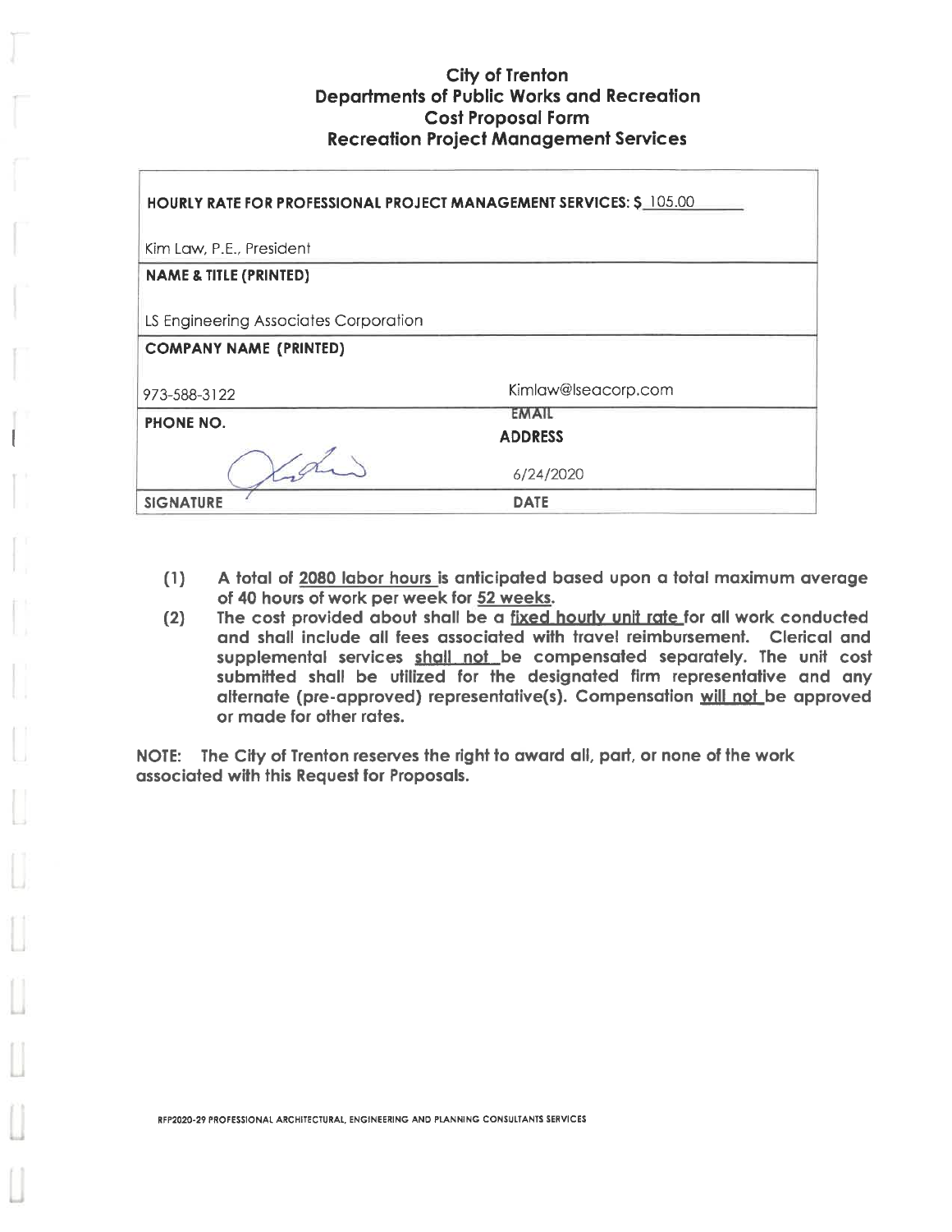| <b>HOURLY RATE FOR PROFESSIONAL PROJECT MANAGEMENT SERVICES: \$ 105.00</b> |                                |  |  |  |
|----------------------------------------------------------------------------|--------------------------------|--|--|--|
| Kim Law, P.E., President                                                   |                                |  |  |  |
| <b>NAME &amp; TITLE (PRINTED)</b>                                          |                                |  |  |  |
| LS Engineering Associates Corporation                                      |                                |  |  |  |
| <b>COMPANY NAME (PRINTED)</b>                                              |                                |  |  |  |
| 973-588-3122                                                               | Kimlaw@lseacorp.com            |  |  |  |
| PHONE NO.                                                                  | <b>EMAIL</b><br><b>ADDRESS</b> |  |  |  |
|                                                                            | 6/24/2020                      |  |  |  |
| <b>SIGNATURE</b>                                                           | <b>DATE</b>                    |  |  |  |

- $(1)$ A total of 2080 labor hours is anticipated based upon a total maximum average of 40 hours of work per week for 52 weeks.
- The cost provided about shall be a fixed hourly unit rate for all work conducted  $(2)$ and shall include all fees associated with travel reimbursement. Clerical and supplemental services shall not be compensated separately. The unit cost submitted shall be utilized for the designated firm representative and any alternate (pre-approved) representative(s). Compensation will not be approved or made for other rates.

NOTE: The City of Trenton reserves the right to award all, part, or none of the work associated with this Request for Proposals.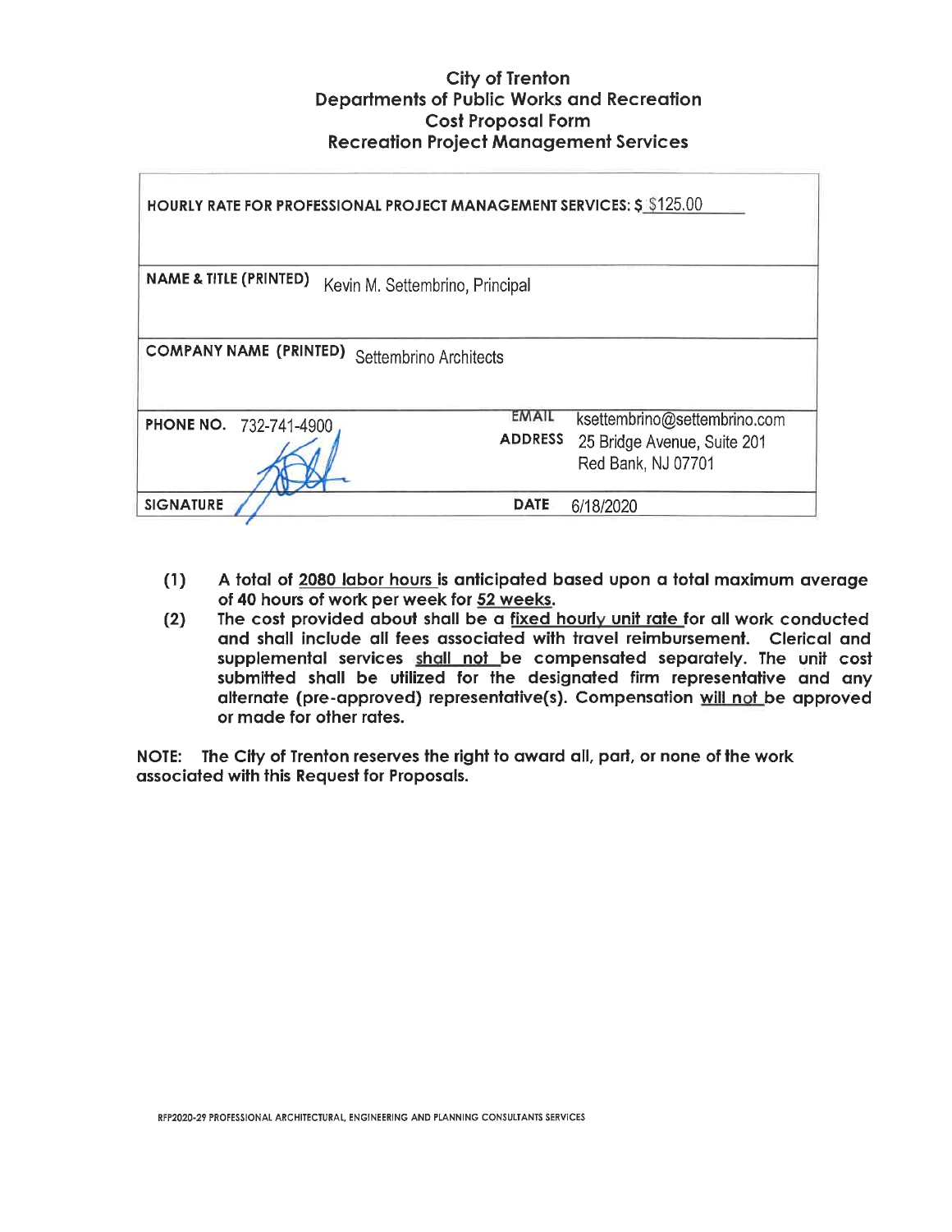| <b>HOURLY RATE FOR PROFESSIONAL PROJECT MANAGEMENT SERVICES: \$ \$125.00</b> |                                                                                                              |  |  |  |  |
|------------------------------------------------------------------------------|--------------------------------------------------------------------------------------------------------------|--|--|--|--|
| <b>NAME &amp; TITLE (PRINTED)</b><br>Kevin M. Settembrino, Principal         |                                                                                                              |  |  |  |  |
| <b>COMPANY NAME (PRINTED)</b><br>Settembrino Architects                      |                                                                                                              |  |  |  |  |
| <b>PHONE NO. 732-741-4900</b>                                                | EMAIL<br>ksettembrino@settembrino.com<br><b>ADDRESS</b><br>25 Bridge Avenue, Suite 201<br>Red Bank, NJ 07701 |  |  |  |  |
| <b>SIGNATURE</b>                                                             | <b>DATE</b><br>6/18/2020                                                                                     |  |  |  |  |

- A total of 2080 labor hours is anticipated based upon a total maximum average  $(1)$ of 40 hours of work per week for 52 weeks.
- The cost provided about shall be a fixed hourly unit rate for all work conducted  $(2)$ and shall include all fees associated with travel reimbursement. Clerical and supplemental services shall not be compensated separately. The unit cost submitted shall be utilized for the designated firm representative and any alternate (pre-approved) representative(s). Compensation will not be approved or made for other rates.

NOTE: The City of Trenton reserves the right to award all, part, or none of the work associated with this Request for Proposals.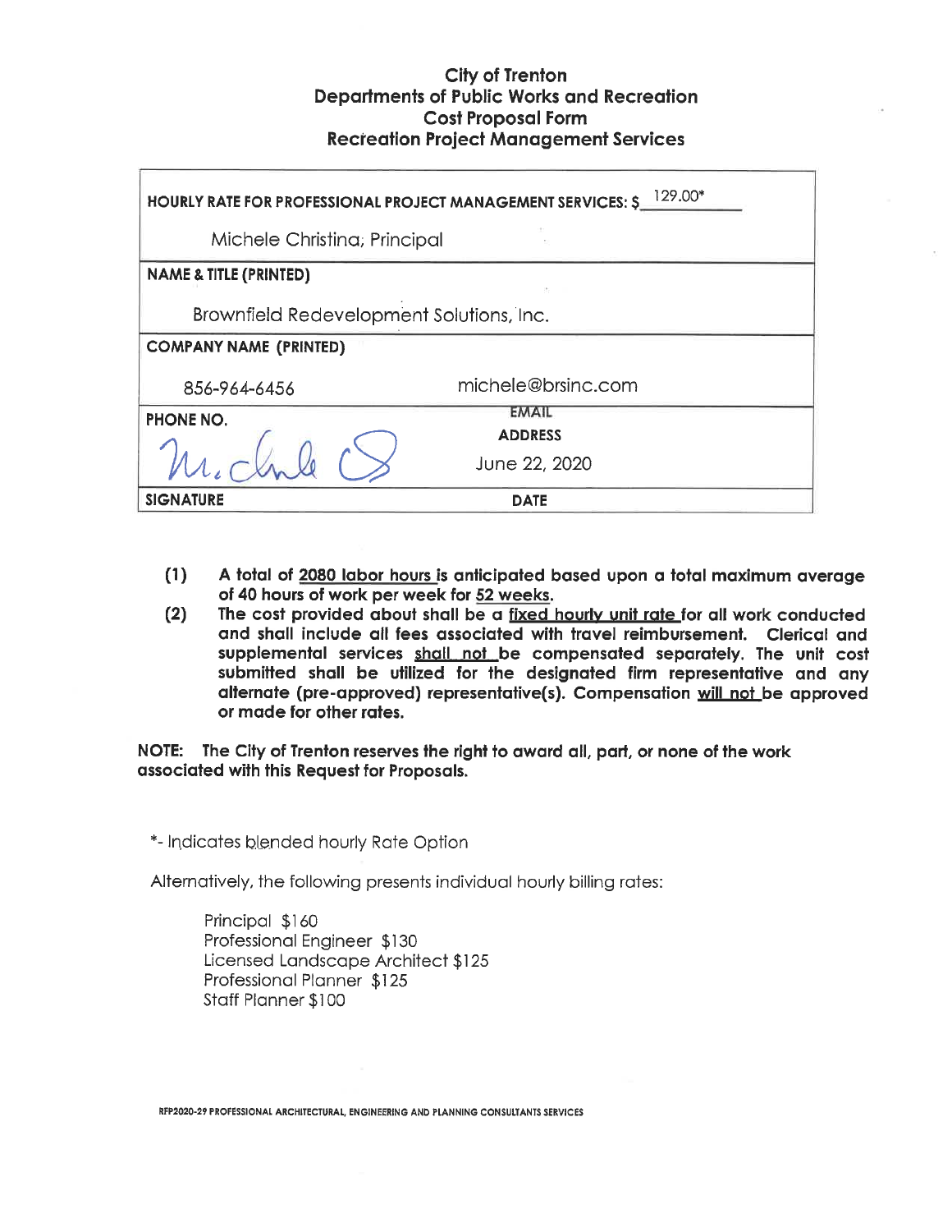| 129.00*<br><b>HOURLY RATE FOR PROFESSIONAL PROJECT MANAGEMENT SERVICES: \$</b> |                                |  |  |  |  |
|--------------------------------------------------------------------------------|--------------------------------|--|--|--|--|
| Michele Christina; Principal                                                   |                                |  |  |  |  |
| <b>NAME &amp; TITLE (PRINTED)</b>                                              |                                |  |  |  |  |
| Brownfield Redevelopment Solutions, Inc.                                       |                                |  |  |  |  |
| <b>COMPANY NAME (PRINTED)</b>                                                  |                                |  |  |  |  |
| 856-964-6456                                                                   | michele@brsinc.com             |  |  |  |  |
| <b>PHONE NO.</b>                                                               | <b>EMAIL</b><br><b>ADDRESS</b> |  |  |  |  |
|                                                                                | June 22, 2020                  |  |  |  |  |
| <b>SIGNATURE</b>                                                               | <b>DATE</b>                    |  |  |  |  |

- $(1)$ A total of 2080 labor hours is anticipated based upon a total maximum average of 40 hours of work per week for 52 weeks.
- The cost provided about shall be a fixed hourly unit rate for all work conducted  $(2)$ and shall include all fees associated with travel reimbursement. Clerical and supplemental services shall not be compensated separately. The unit cost submitted shall be utilized for the designated firm representative and any alternate (pre-approved) representative(s). Compensation will not be approved or made for other rates.

NOTE: The City of Trenton reserves the right to award all, part, or none of the work associated with this Request for Proposals.

\*- Indicates blended hourly Rate Option

Alternatively, the following presents individual hourly billing rates:

Principal \$160 Professional Engineer \$130 Licensed Landscape Architect \$125 Professional Planner \$125 Staff Planner \$100